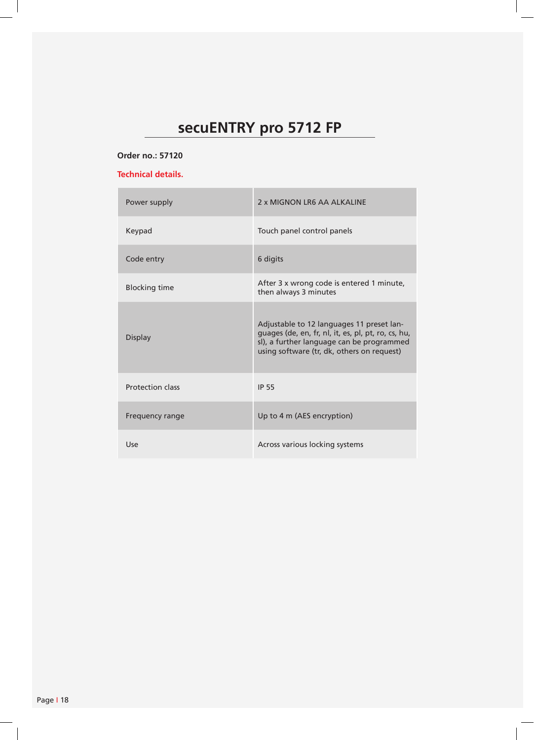# **secuENTRY pro 5712 FP**

## **Order no.: 57120**

## **Technical details.**

| Power supply            | 2 x MIGNON LR6 AA ALKALINE                                                                                                                                                                  |
|-------------------------|---------------------------------------------------------------------------------------------------------------------------------------------------------------------------------------------|
| Keypad                  | Touch panel control panels                                                                                                                                                                  |
| Code entry              | 6 digits                                                                                                                                                                                    |
| <b>Blocking time</b>    | After 3 x wrong code is entered 1 minute,<br>then always 3 minutes                                                                                                                          |
| Display                 | Adjustable to 12 languages 11 preset lan-<br>guages (de, en, fr, nl, it, es, pl, pt, ro, cs, hu,<br>sl), a further language can be programmed<br>using software (tr, dk, others on request) |
| <b>Protection class</b> | <b>IP 55</b>                                                                                                                                                                                |
| Frequency range         | Up to 4 m (AES encryption)                                                                                                                                                                  |
| Use                     | Across various locking systems                                                                                                                                                              |

 $\overline{\phantom{a}}$